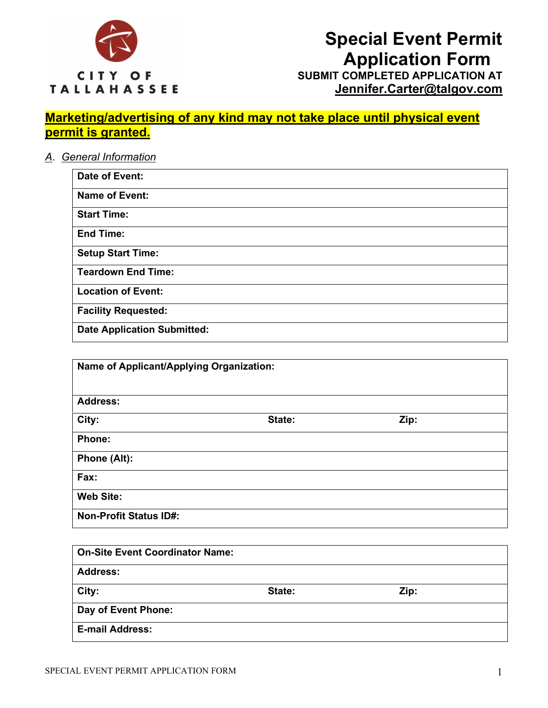

# **Special Event Permit Application Form SUBMIT COMPLETED APPLICATION AT**

**Jennifer.Carter@talgov.com**

# **Marketing/advertising of any kind may not take place until physical event permit is granted.**

*A*. *General Information*

| Date of Event:                     |
|------------------------------------|
| <b>Name of Event:</b>              |
| <b>Start Time:</b>                 |
| <b>End Time:</b>                   |
| <b>Setup Start Time:</b>           |
| <b>Teardown End Time:</b>          |
| <b>Location of Event:</b>          |
| <b>Facility Requested:</b>         |
| <b>Date Application Submitted:</b> |

| Name of Applicant/Applying Organization: |        |      |  |
|------------------------------------------|--------|------|--|
|                                          |        |      |  |
| <b>Address:</b>                          |        |      |  |
| City:                                    | State: | Zip: |  |
| <b>Phone:</b>                            |        |      |  |
| Phone (Alt):                             |        |      |  |
| Fax:                                     |        |      |  |
| <b>Web Site:</b>                         |        |      |  |
| <b>Non-Profit Status ID#:</b>            |        |      |  |

| <b>On-Site Event Coordinator Name:</b> |        |      |  |
|----------------------------------------|--------|------|--|
| <b>Address:</b>                        |        |      |  |
| City:                                  | State: | Zip: |  |
| Day of Event Phone:                    |        |      |  |
| <b>E-mail Address:</b>                 |        |      |  |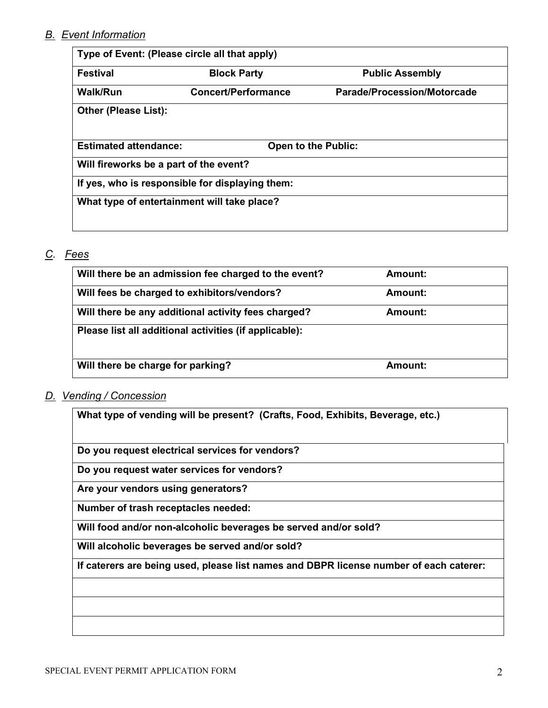# *B. Event Information*

| Type of Event: (Please circle all that apply)   |                            |                                    |  |
|-------------------------------------------------|----------------------------|------------------------------------|--|
| <b>Festival</b>                                 | <b>Block Party</b>         | <b>Public Assembly</b>             |  |
| <b>Walk/Run</b>                                 | <b>Concert/Performance</b> | <b>Parade/Procession/Motorcade</b> |  |
| <b>Other (Please List):</b>                     |                            |                                    |  |
| <b>Estimated attendance:</b>                    |                            | <b>Open to the Public:</b>         |  |
| Will fireworks be a part of the event?          |                            |                                    |  |
| If yes, who is responsible for displaying them: |                            |                                    |  |
| What type of entertainment will take place?     |                            |                                    |  |
|                                                 |                            |                                    |  |

# *C. Fees*

| Will there be an admission fee charged to the event?   | Amount: |
|--------------------------------------------------------|---------|
| Will fees be charged to exhibitors/vendors?            | Amount: |
| Will there be any additional activity fees charged?    | Amount: |
| Please list all additional activities (if applicable): |         |
|                                                        |         |
| Will there be charge for parking?                      | Amount: |

## *D. Vending / Concession*

**What type of vending will be present? (Crafts, Food, Exhibits, Beverage, etc.)**

**Do you request electrical services for vendors?**

**Do you request water services for vendors?**

**Are your vendors using generators?**

**Number of trash receptacles needed:**

**Will food and/or non-alcoholic beverages be served and/or sold?**

**Will alcoholic beverages be served and/or sold?**

**If caterers are being used, please list names and DBPR license number of each caterer:**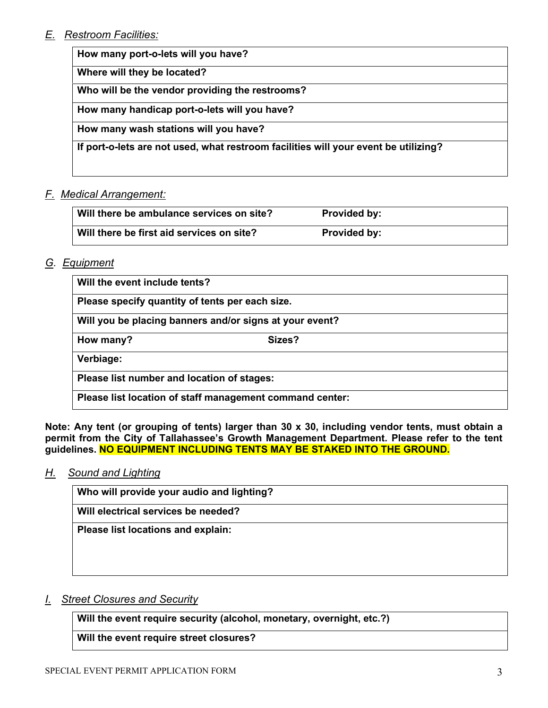# *E. Restroom Facilities:*

**How many port-o-lets will you have?**

**Where will they be located?**

**Who will be the vendor providing the restrooms?**

**How many handicap port-o-lets will you have?**

**How many wash stations will you have?** 

**If port-o-lets are not used, what restroom facilities will your event be utilizing?**

## *F. Medical Arrangement:*

| Will there be ambulance services on site? | <b>Provided by:</b> |
|-------------------------------------------|---------------------|
| Will there be first aid services on site? | <b>Provided by:</b> |

## *G. Equipment*

| Will the event include tents?                            |                                                         |  |
|----------------------------------------------------------|---------------------------------------------------------|--|
| Please specify quantity of tents per each size.          |                                                         |  |
|                                                          | Will you be placing banners and/or signs at your event? |  |
| How many?                                                | Sizes?                                                  |  |
| Verbiage:                                                |                                                         |  |
| Please list number and location of stages:               |                                                         |  |
| Please list location of staff management command center: |                                                         |  |

**Note: Any tent (or grouping of tents) larger than 30 x 30, including vendor tents, must obtain a permit from the City of Tallahassee's Growth Management Department. Please refer to the tent guidelines. NO EQUIPMENT INCLUDING TENTS MAY BE STAKED INTO THE GROUND.**

## *H. Sound and Lighting*

**Who will provide your audio and lighting?**

**Will electrical services be needed?**

**Please list locations and explain:**

## *I. Street Closures and Security*

**Will the event require security (alcohol, monetary, overnight, etc.?)**

**Will the event require street closures?**